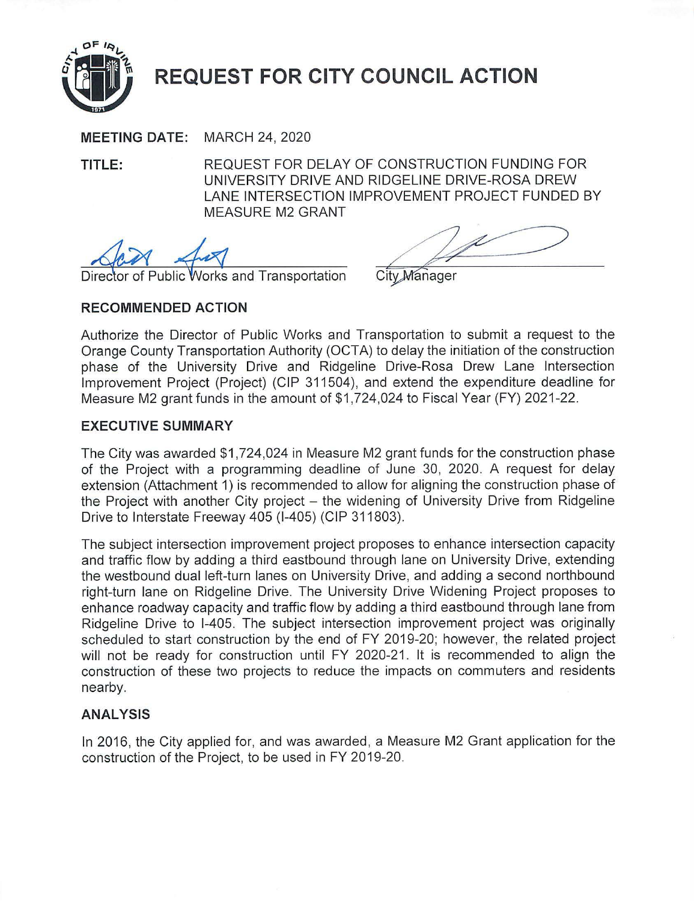

**MEETING DATE:** MARCH 24, 2020

**TITLE:** REQUEST FOR DELAY OF CONSTRUCTION FUNDING FOR UNIVERSITY DRIVE AND RIDGELINE DRIVE-ROSA DREW LANE INTERSECTION IMPROVEMENT PROJECT FUNDED BY MEASURE M2 GRANT

Public Works and Transportation

City Manager

# **RECOMMENDED ACTION**

Authorize the Director of Public Works and Transportation to submit a request to the Orange County Transportation Authority (OCTA) to delay the initiation of the construction phase of the University Drive and Ridgeline Drive-Rosa Drew Lane Intersection Improvement Project (Project) (CIP 311504), and extend the expenditure deadline for Measure M2 grant funds in the amount of \$1 ,724,024 to Fiscal Year (FY) 2021-22.

# **EXECUTIVE SUMMARY**

The City was awarded \$1,724,024 in Measure M2 grant funds for the construction phase of the Project with a programming deadline of June 30, 2020. A request for delay extension (Attachment 1) is recommended to allow for aligning the construction phase of the Project with another City project – the widening of University Drive from Ridgeline Drive to Interstate Freeway 405 (1-405) (CIP 311803).

The subject intersection improvement project proposes to enhance intersection capacity and traffic flow by adding a third eastbound through lane on University Drive, extending the westbound dual left-turn lanes on University Drive, and adding a second northbound right-turn lane on Ridgeline Drive. The University Drive Widening Project proposes to enhance roadway capacity and traffic flow by adding a third eastbound through lane from Ridgeline Drive to 1-405. The subject intersection improvement project was originally scheduled to start construction by the end of FY 2019-20; however, the related project will not be ready for construction until FY 2020-21. It is recommended to align the construction of these two projects to reduce the impacts on commuters and residents nearby.

# **ANALYSIS**

In 2016, the City applied for, and was awarded, a Measure M2 Grant application for the construction of the Project, to be used in FY 2019-20.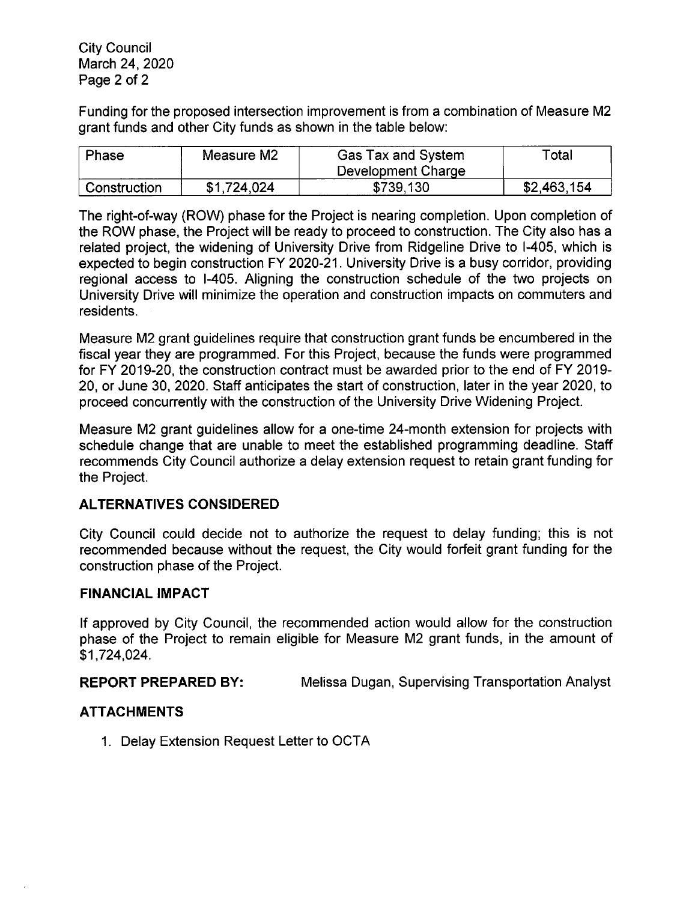Funding for the proposed intersection improvement is from a combination of Measure M2 grant funds and other City funds as shown in the table below:

| Phase        | Measure M2  | Gas Tax and System | $\tau$ otal |
|--------------|-------------|--------------------|-------------|
|              |             | Development Charge |             |
| Construction | \$1,724,024 | \$739,130          | \$2,463,154 |

The right-of-way (ROW) phase for the Project is nearing completion. Upon completion of the ROW phase, the Project will be ready to proceed to construction. The City also has a related project, the widening of University Drive from Ridgeline Drive to 1-405, which is expected to begin construction FY 2020-21. University Drive is a busy corridor, providing regional access to 1-405. Aligning the construction schedule of the two projects on University Drive will minimize the operation and construction impacts on commuters and residents.

Measure M2 grant guidelines require that construction grant funds be encumbered in the fiscal year they are programmed. For this Project, because the funds were programmed for FY 2019-20, the construction contract must be awarded prior to the end of FY 2019- 20, or June 30, 2020. Staff anticipates the start of construction, later in the year 2020, to proceed concurrently with the construction of the University Drive Widening Project.

Measure M2 grant guidelines allow for a one-time 24-month extension for projects with schedule change that are unable to meet the established programming deadline. Staff recommends City Council authorize a delay extension request to retain grant funding for the Project.

# **ALTERNATIVES CONSIDERED**

City Council could decide not to authorize the request to delay funding; this is not recommended because without the request, the City would forfeit grant funding for the construction phase of the Project.

### **FINANCIAL IMPACT**

If approved by City Council, the recommended action would allow for the construction phase of the Project to remain eligible for Measure M2 grant funds, in the amount of \$1,724,024.

**REPORT PREPARED BY:** Melissa Dugan, Supervising Transportation Analyst

### **ATTACHMENTS**

1. Delay Extension Request Letter to OCTA